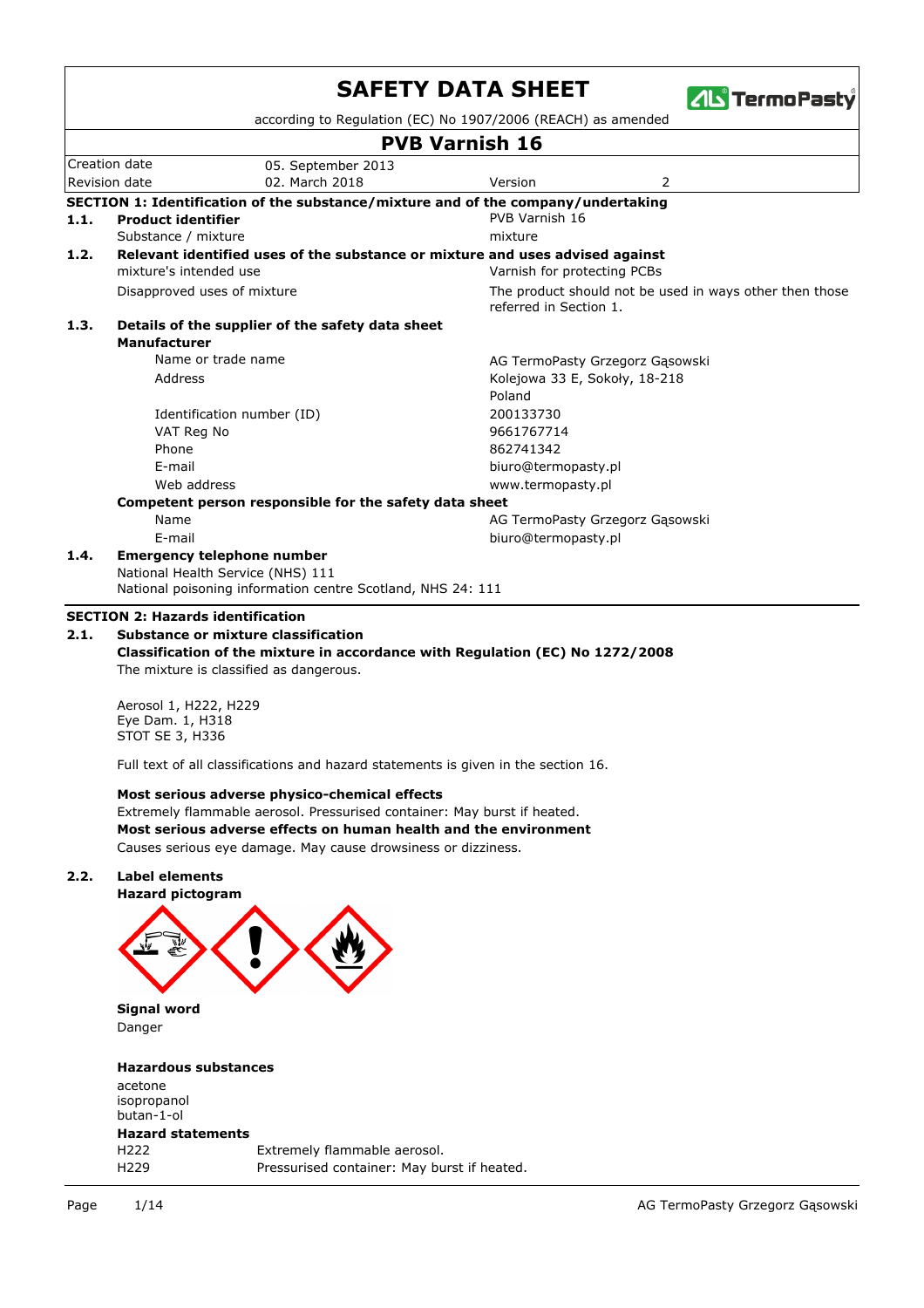|      |                                                              |                                                                                                                                                                                                                                                                | <b>SAFETY DATA SHEET</b><br><b>ZIL</b> TermoPasty                                                   |  |  |  |  |
|------|--------------------------------------------------------------|----------------------------------------------------------------------------------------------------------------------------------------------------------------------------------------------------------------------------------------------------------------|-----------------------------------------------------------------------------------------------------|--|--|--|--|
|      |                                                              |                                                                                                                                                                                                                                                                | according to Regulation (EC) No 1907/2006 (REACH) as amended                                        |  |  |  |  |
|      |                                                              |                                                                                                                                                                                                                                                                | <b>PVB Varnish 16</b>                                                                               |  |  |  |  |
|      | Creation date<br>Revision date                               | 05. September 2013<br>02. March 2018                                                                                                                                                                                                                           | 2<br>Version                                                                                        |  |  |  |  |
|      |                                                              |                                                                                                                                                                                                                                                                |                                                                                                     |  |  |  |  |
| 1.1. | <b>Product identifier</b>                                    |                                                                                                                                                                                                                                                                | SECTION 1: Identification of the substance/mixture and of the company/undertaking<br>PVB Varnish 16 |  |  |  |  |
|      | Substance / mixture                                          |                                                                                                                                                                                                                                                                | mixture                                                                                             |  |  |  |  |
| 1.2. |                                                              |                                                                                                                                                                                                                                                                | Relevant identified uses of the substance or mixture and uses advised against                       |  |  |  |  |
|      | mixture's intended use                                       |                                                                                                                                                                                                                                                                | Varnish for protecting PCBs                                                                         |  |  |  |  |
|      | Disapproved uses of mixture                                  |                                                                                                                                                                                                                                                                | The product should not be used in ways other then those<br>referred in Section 1.                   |  |  |  |  |
| 1.3. |                                                              | Details of the supplier of the safety data sheet                                                                                                                                                                                                               |                                                                                                     |  |  |  |  |
|      | <b>Manufacturer</b>                                          |                                                                                                                                                                                                                                                                |                                                                                                     |  |  |  |  |
|      |                                                              | Name or trade name                                                                                                                                                                                                                                             | AG TermoPasty Grzegorz Gąsowski                                                                     |  |  |  |  |
|      | Address                                                      |                                                                                                                                                                                                                                                                | Kolejowa 33 E, Sokoły, 18-218<br>Poland                                                             |  |  |  |  |
|      |                                                              |                                                                                                                                                                                                                                                                | 200133730                                                                                           |  |  |  |  |
|      | VAT Reg No                                                   | Identification number (ID)                                                                                                                                                                                                                                     | 9661767714                                                                                          |  |  |  |  |
|      | Phone                                                        |                                                                                                                                                                                                                                                                | 862741342                                                                                           |  |  |  |  |
|      | E-mail                                                       |                                                                                                                                                                                                                                                                | biuro@termopasty.pl                                                                                 |  |  |  |  |
|      | Web address                                                  |                                                                                                                                                                                                                                                                | www.termopasty.pl                                                                                   |  |  |  |  |
|      |                                                              | Competent person responsible for the safety data sheet                                                                                                                                                                                                         |                                                                                                     |  |  |  |  |
|      | Name                                                         |                                                                                                                                                                                                                                                                | AG TermoPasty Grzegorz Gąsowski                                                                     |  |  |  |  |
|      | E-mail                                                       |                                                                                                                                                                                                                                                                | biuro@termopasty.pl                                                                                 |  |  |  |  |
| 1.4. |                                                              | <b>Emergency telephone number</b><br>National Health Service (NHS) 111<br>National poisoning information centre Scotland, NHS 24: 111                                                                                                                          |                                                                                                     |  |  |  |  |
|      | <b>SECTION 2: Hazards identification</b>                     |                                                                                                                                                                                                                                                                |                                                                                                     |  |  |  |  |
| 2.1. |                                                              | Substance or mixture classification                                                                                                                                                                                                                            |                                                                                                     |  |  |  |  |
|      |                                                              |                                                                                                                                                                                                                                                                | Classification of the mixture in accordance with Regulation (EC) No 1272/2008                       |  |  |  |  |
|      |                                                              | The mixture is classified as dangerous.                                                                                                                                                                                                                        |                                                                                                     |  |  |  |  |
|      | Aerosol 1, H222, H229<br>Eye Dam. 1, H318<br>STOT SE 3, H336 |                                                                                                                                                                                                                                                                |                                                                                                     |  |  |  |  |
|      |                                                              | Full text of all classifications and hazard statements is given in the section 16.                                                                                                                                                                             |                                                                                                     |  |  |  |  |
|      |                                                              | Most serious adverse physico-chemical effects<br>Extremely flammable aerosol. Pressurised container: May burst if heated.<br>Most serious adverse effects on human health and the environment<br>Causes serious eye damage. May cause drowsiness or dizziness. |                                                                                                     |  |  |  |  |
| 2.2. | <b>Label elements</b><br><b>Hazard pictogram</b>             |                                                                                                                                                                                                                                                                |                                                                                                     |  |  |  |  |
|      |                                                              |                                                                                                                                                                                                                                                                |                                                                                                     |  |  |  |  |
|      | <b>Signal word</b><br>Danger                                 |                                                                                                                                                                                                                                                                |                                                                                                     |  |  |  |  |
|      | <b>Hazardous substances</b>                                  |                                                                                                                                                                                                                                                                |                                                                                                     |  |  |  |  |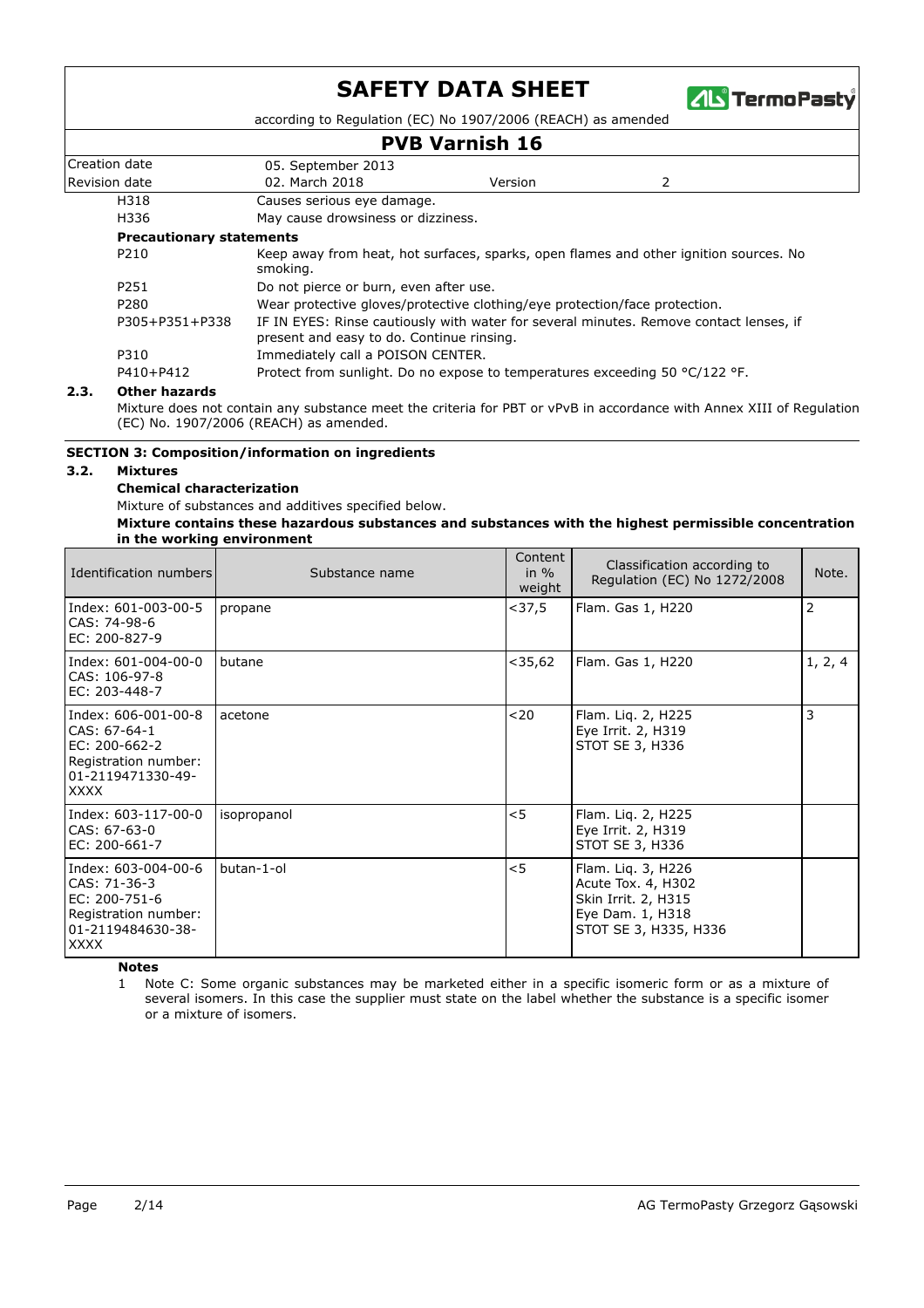

according to Regulation (EC) No 1907/2006 (REACH) as amended

### **PVB Varnish 16**

|                                                                                                              |                                           | F VD VALIISH 19 |                                                                                        |  |  |
|--------------------------------------------------------------------------------------------------------------|-------------------------------------------|-----------------|----------------------------------------------------------------------------------------|--|--|
| Creation date                                                                                                | 05. September 2013                        |                 |                                                                                        |  |  |
| Revision date                                                                                                | 02. March 2018                            | Version         | 2                                                                                      |  |  |
| H318                                                                                                         | Causes serious eye damage.                |                 |                                                                                        |  |  |
| H336                                                                                                         | May cause drowsiness or dizziness.        |                 |                                                                                        |  |  |
| <b>Precautionary statements</b>                                                                              |                                           |                 |                                                                                        |  |  |
| Keep away from heat, hot surfaces, sparks, open flames and other ignition sources. No<br>P210<br>smoking.    |                                           |                 |                                                                                        |  |  |
| P251                                                                                                         | Do not pierce or burn, even after use.    |                 |                                                                                        |  |  |
| Wear protective gloves/protective clothing/eye protection/face protection.<br>P280                           |                                           |                 |                                                                                        |  |  |
| P305+P351+P338                                                                                               | present and easy to do. Continue rinsing. |                 | IF IN EYES: Rinse cautiously with water for several minutes. Remove contact lenses, if |  |  |
| P310                                                                                                         | Immediately call a POISON CENTER.         |                 |                                                                                        |  |  |
| P410+P412<br>Protect from sunlight. Do no expose to temperatures exceeding 50 $^{\circ}$ C/122 $^{\circ}$ F. |                                           |                 |                                                                                        |  |  |

#### **2.3. Other hazards**

Mixture does not contain any substance meet the criteria for PBT or vPvB in accordance with Annex XIII of Regulation (EC) No. 1907/2006 (REACH) as amended.

#### **SECTION 3: Composition/information on ingredients**

#### **3.2. Mixtures**

#### **Chemical characterization**

Mixture of substances and additives specified below.

#### **Mixture contains these hazardous substances and substances with the highest permissible concentration in the working environment**

| Identification numbers                                                                                           | Substance name | Content<br>in $\%$<br>weight | Classification according to<br>Regulation (EC) No 1272/2008                                                  | Note.   |
|------------------------------------------------------------------------------------------------------------------|----------------|------------------------------|--------------------------------------------------------------------------------------------------------------|---------|
| Index: 601-003-00-5<br>CAS: 74-98-6<br>EC: 200-827-9                                                             | propane        | $<$ 37,5                     | Flam. Gas 1, H220                                                                                            | 2       |
| Index: 601-004-00-0<br>CAS: 106-97-8<br>EC: 203-448-7                                                            | butane         | $<$ 35,62                    | Flam. Gas 1, H220                                                                                            | 1, 2, 4 |
| Index: 606-001-00-8<br>CAS: 67-64-1<br>EC: 200-662-2<br>Registration number:<br>01-2119471330-49-<br><b>XXXX</b> | acetone        | $20$                         | Flam. Liq. 2, H225<br>Eye Irrit. 2, H319<br>STOT SE 3, H336                                                  | 3       |
| Index: 603-117-00-0<br>CAS: 67-63-0<br>EC: 200-661-7                                                             | isopropanol    | $<$ 5                        | Flam. Lig. 2, H225<br>Eye Irrit. 2, H319<br>STOT SE 3, H336                                                  |         |
| Index: 603-004-00-6<br>CAS: 71-36-3<br>EC: 200-751-6<br>Registration number:<br>01-2119484630-38-<br><b>XXXX</b> | butan-1-ol     | $<$ 5                        | Flam. Lig. 3, H226<br>Acute Tox. 4, H302<br>Skin Irrit. 2, H315<br>Eye Dam. 1, H318<br>STOT SE 3, H335, H336 |         |

**Notes**

Note C: Some organic substances may be marketed either in a specific isomeric form or as a mixture of 1 several isomers. In this case the supplier must state on the label whether the substance is a specific isomer or a mixture of isomers.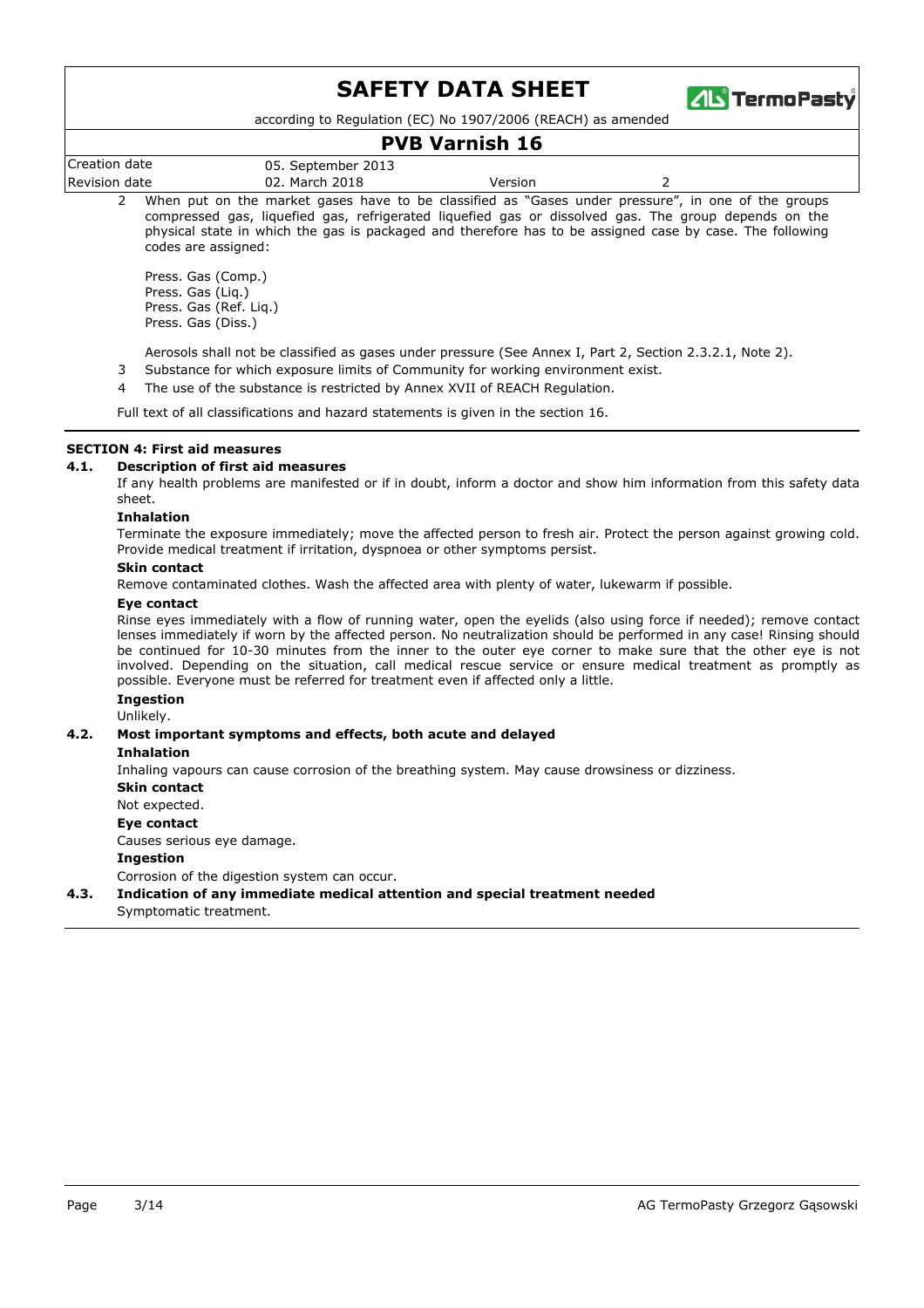

according to Regulation (EC) No 1907/2006 (REACH) as amended

### **PVB Varnish 16**

|                  |                       | .            |  |
|------------------|-----------------------|--------------|--|
| Creation<br>date | 05. September 2013    |              |  |
| Revision<br>date | 2018<br>March<br>IJΖ. | Version<br>. |  |
|                  |                       |              |  |

When put on the market gases have to be classified as "Gases under pressure", in one of the groups compressed gas, liquefied gas, refrigerated liquefied gas or dissolved gas. The group depends on the physical state in which the gas is packaged and therefore has to be assigned case by case. The following codes are assigned:  $\overline{2}$ 

Press. Gas (Comp.) Press. Gas (Liq.) Press. Gas (Ref. Liq.) Press. Gas (Diss.)

- Aerosols shall not be classified as gases under pressure (See Annex I, Part 2, Section 2.3.2.1, Note 2).
- 3 Substance for which exposure limits of Community for working environment exist.
- 4 The use of the substance is restricted by Annex XVII of REACH Regulation.

Full text of all classifications and hazard statements is given in the section 16.

#### **SECTION 4: First aid measures**

#### **4.1. Description of first aid measures**

If any health problems are manifested or if in doubt, inform a doctor and show him information from this safety data sheet.

#### **Inhalation**

Terminate the exposure immediately; move the affected person to fresh air. Protect the person against growing cold. Provide medical treatment if irritation, dyspnoea or other symptoms persist.

#### **Skin contact**

Remove contaminated clothes. Wash the affected area with plenty of water, lukewarm if possible.

#### **Eye contact**

Rinse eyes immediately with a flow of running water, open the eyelids (also using force if needed); remove contact lenses immediately if worn by the affected person. No neutralization should be performed in any case! Rinsing should be continued for 10-30 minutes from the inner to the outer eye corner to make sure that the other eye is not involved. Depending on the situation, call medical rescue service or ensure medical treatment as promptly as possible. Everyone must be referred for treatment even if affected only a little.

#### **Ingestion**

Unlikely.

#### **4.2. Most important symptoms and effects, both acute and delayed**

**Inhalation**

Inhaling vapours can cause corrosion of the breathing system. May cause drowsiness or dizziness.

**Skin contact**

Not expected.

**Eye contact**

Causes serious eye damage.

#### **Ingestion**

Corrosion of the digestion system can occur.

Symptomatic treatment. **4.3. Indication of any immediate medical attention and special treatment needed**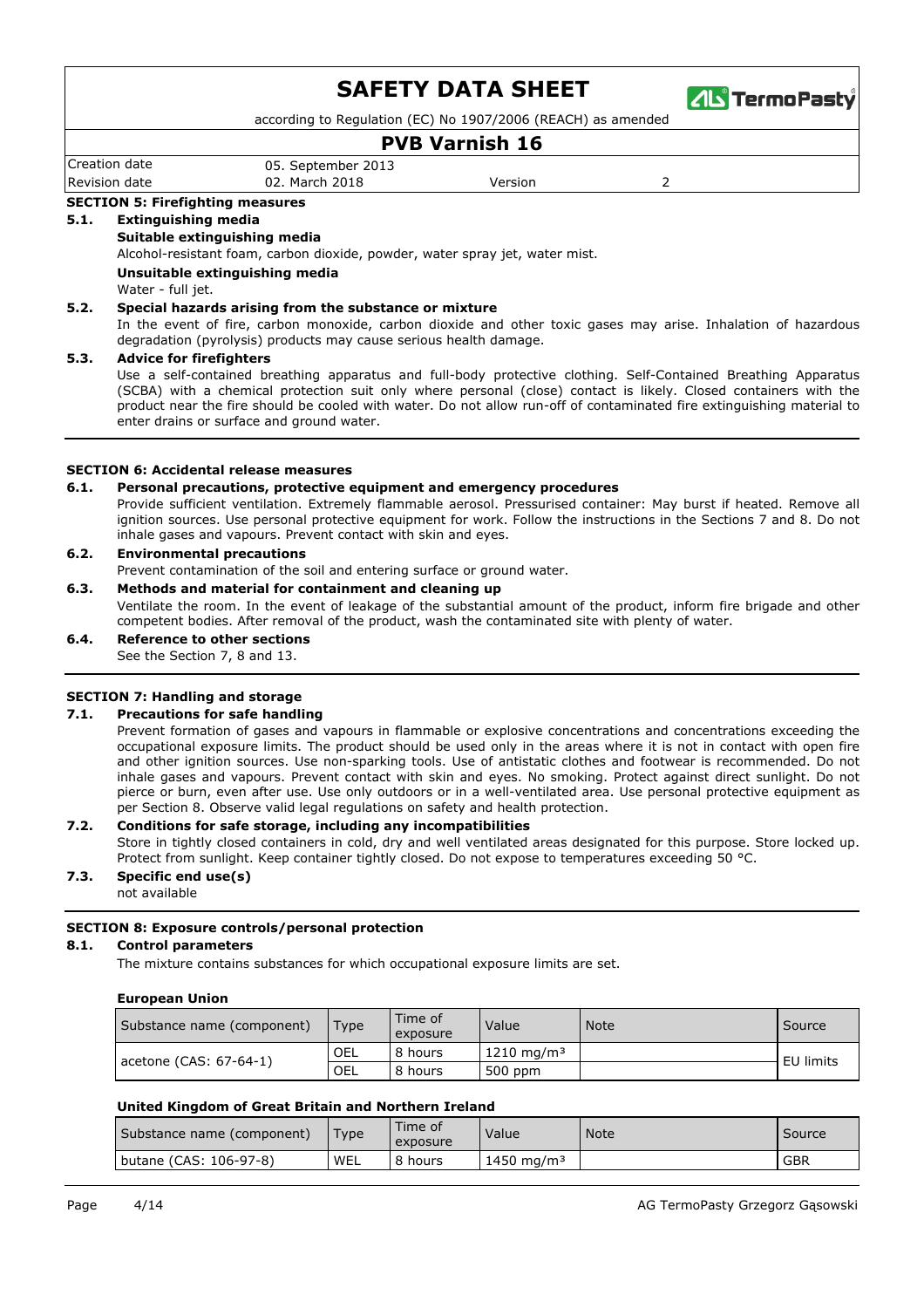

according to Regulation (EC) No 1907/2006 (REACH) as amended

## **PVB Varnish 16**

Revision date 02. March 2018 Version 2 Creation date 05. September 2013

### **SECTION 5: Firefighting measures**

#### **5.1. Extinguishing media**

#### **Suitable extinguishing media**

Alcohol-resistant foam, carbon dioxide, powder, water spray jet, water mist.

#### **Unsuitable extinguishing media**

Water - full jet.

#### **5.2. Special hazards arising from the substance or mixture**

In the event of fire, carbon monoxide, carbon dioxide and other toxic gases may arise. Inhalation of hazardous degradation (pyrolysis) products may cause serious health damage.

#### **5.3. Advice for firefighters**

Use a self-contained breathing apparatus and full-body protective clothing. Self-Contained Breathing Apparatus (SCBA) with a chemical protection suit only where personal (close) contact is likely. Closed containers with the product near the fire should be cooled with water. Do not allow run-off of contaminated fire extinguishing material to enter drains or surface and ground water.

#### **SECTION 6: Accidental release measures**

#### **6.1. Personal precautions, protective equipment and emergency procedures**

Provide sufficient ventilation. Extremely flammable aerosol. Pressurised container: May burst if heated. Remove all ignition sources. Use personal protective equipment for work. Follow the instructions in the Sections 7 and 8. Do not inhale gases and vapours. Prevent contact with skin and eyes.

#### **6.2. Environmental precautions**

Prevent contamination of the soil and entering surface or ground water.

#### **6.3. Methods and material for containment and cleaning up**

Ventilate the room. In the event of leakage of the substantial amount of the product, inform fire brigade and other competent bodies. After removal of the product, wash the contaminated site with plenty of water.

#### **6.4. Reference to other sections**

See the Section 7, 8 and 13.

#### **SECTION 7: Handling and storage**

#### **7.1. Precautions for safe handling**

Prevent formation of gases and vapours in flammable or explosive concentrations and concentrations exceeding the occupational exposure limits. The product should be used only in the areas where it is not in contact with open fire and other ignition sources. Use non-sparking tools. Use of antistatic clothes and footwear is recommended. Do not inhale gases and vapours. Prevent contact with skin and eyes. No smoking. Protect against direct sunlight. Do not pierce or burn, even after use. Use only outdoors or in a well-ventilated area. Use personal protective equipment as per Section 8. Observe valid legal regulations on safety and health protection.

#### **7.2. Conditions for safe storage, including any incompatibilities**

Store in tightly closed containers in cold, dry and well ventilated areas designated for this purpose. Store locked up. Protect from sunlight. Keep container tightly closed. Do not expose to temperatures exceeding 50 °C.

#### not available **7.3. Specific end use(s)**

## **SECTION 8: Exposure controls/personal protection**

#### **8.1. Control parameters**

The mixture contains substances for which occupational exposure limits are set.

#### **European Union**

| Substance name (component) | Type | Time of<br>exposure | Value                   | <b>Note</b> | Source    |
|----------------------------|------|---------------------|-------------------------|-------------|-----------|
|                            | OEL  | 8 hours             | $1210 \; \text{mg/m}^3$ |             | EU limits |
| acetone (CAS: 67-64-1)     | OEL  | 8 hours             | 500 ppm                 |             |           |

#### **United Kingdom of Great Britain and Northern Ireland**

| (Substance name (component) | Type | Time of<br>exposure | Value                  | <b>Note</b> | Source     |
|-----------------------------|------|---------------------|------------------------|-------------|------------|
| butane (CAS: 106-97-8)      | WEL  | 8 hours             | 1450 mg/m <sup>3</sup> |             | <b>GBR</b> |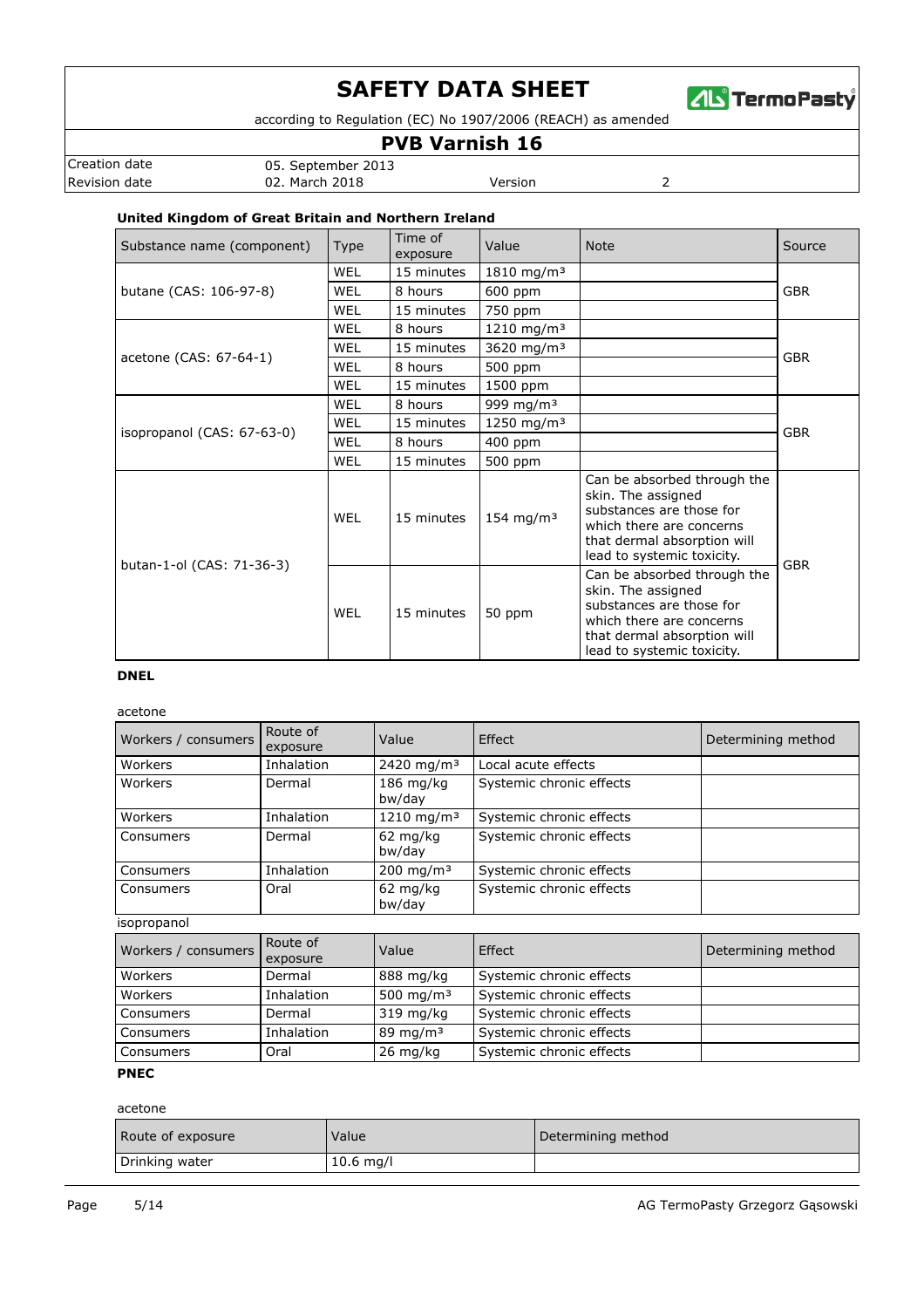

according to Regulation (EC) No 1907/2006 (REACH) as amended

### **PVB Varnish 16**

Revision date **12. Intervention CO2.** March 2018 **Version** Version 2 Creation date 05. September 2013

### **United Kingdom of Great Britain and Northern Ireland**

| Substance name (component) | <b>Type</b> | Time of<br>exposure | Value                  | <b>Note</b>                                                                                                                                                            | Source     |  |
|----------------------------|-------------|---------------------|------------------------|------------------------------------------------------------------------------------------------------------------------------------------------------------------------|------------|--|
|                            | <b>WEL</b>  | 15 minutes          | 1810 mg/m <sup>3</sup> |                                                                                                                                                                        |            |  |
| butane (CAS: 106-97-8)     | WEL         | 8 hours             | 600 ppm                |                                                                                                                                                                        | <b>GBR</b> |  |
|                            | WEL         | 15 minutes          | 750 ppm                |                                                                                                                                                                        |            |  |
|                            | WEL         | 8 hours             | 1210 mg/m <sup>3</sup> |                                                                                                                                                                        |            |  |
| acetone (CAS: 67-64-1)     | WEL         | 15 minutes          | 3620 mg/m <sup>3</sup> |                                                                                                                                                                        | <b>GBR</b> |  |
|                            | WEL         | 8 hours             | 500 ppm                |                                                                                                                                                                        |            |  |
|                            | WEL         | 15 minutes          | 1500 ppm               |                                                                                                                                                                        |            |  |
|                            | <b>WEL</b>  | 8 hours             | 999 mg/m <sup>3</sup>  |                                                                                                                                                                        |            |  |
| isopropanol (CAS: 67-63-0) | WEL         | 15 minutes          | 1250 mg/m <sup>3</sup> |                                                                                                                                                                        | <b>GBR</b> |  |
|                            | WEL         | 8 hours             | 400 ppm                |                                                                                                                                                                        |            |  |
|                            | <b>WEL</b>  | 15 minutes          | 500 ppm                |                                                                                                                                                                        |            |  |
| butan-1-ol (CAS: 71-36-3)  | WEL         | 15 minutes          | 154 mg/m <sup>3</sup>  | Can be absorbed through the<br>skin. The assigned<br>substances are those for<br>which there are concerns<br>that dermal absorption will<br>lead to systemic toxicity. | <b>GBR</b> |  |
|                            | WEL         | 15 minutes          | 50 ppm                 | Can be absorbed through the<br>skin. The assigned<br>substances are those for<br>which there are concerns<br>that dermal absorption will<br>lead to systemic toxicity. |            |  |

#### **DNEL**

acetone

| Workers / consumers | Route of<br>exposure | Value                        | Effect                   | Determining method |
|---------------------|----------------------|------------------------------|--------------------------|--------------------|
| Workers             | Inhalation           | 2420 mg/m <sup>3</sup>       | Local acute effects      |                    |
| Workers             | Dermal               | $186$ mg/kg<br>bw/day        | Systemic chronic effects |                    |
| Workers             | Inhalation           | 1210 mg/m <sup>3</sup>       | Systemic chronic effects |                    |
| Consumers           | Dermal               | $62 \text{ mg/kg}$<br>bw/day | Systemic chronic effects |                    |
| Consumers           | Inhalation           | 200 mg/m <sup>3</sup>        | Systemic chronic effects |                    |
| Consumers           | Oral                 | $62 \text{ mg/kg}$<br>bw/day | Systemic chronic effects |                    |
| isopropanol         |                      |                              |                          |                    |
| Workers / consumers | Route of<br>exposure | Value                        | Effect                   | Determining method |
| Workers             | Dermal               | 888 mg/kg                    | Systemic chronic effects |                    |
| Workers             | Inhalation           | 500 mg/m <sup>3</sup>        | Systemic chronic effects |                    |
| Consumers           | Dermal               | 319 mg/kg                    | Systemic chronic effects |                    |
| Consumers           | Inhalation           | 89 mg/m $3$                  | Systemic chronic effects |                    |
| Consumers           | Oral                 | $26 \text{ mg/kg}$           | Systemic chronic effects |                    |

### **PNEC**

acetone

| Route of exposure | Value       | Determining method |
|-------------------|-------------|--------------------|
| Drinking water    | $10.6$ mg/l |                    |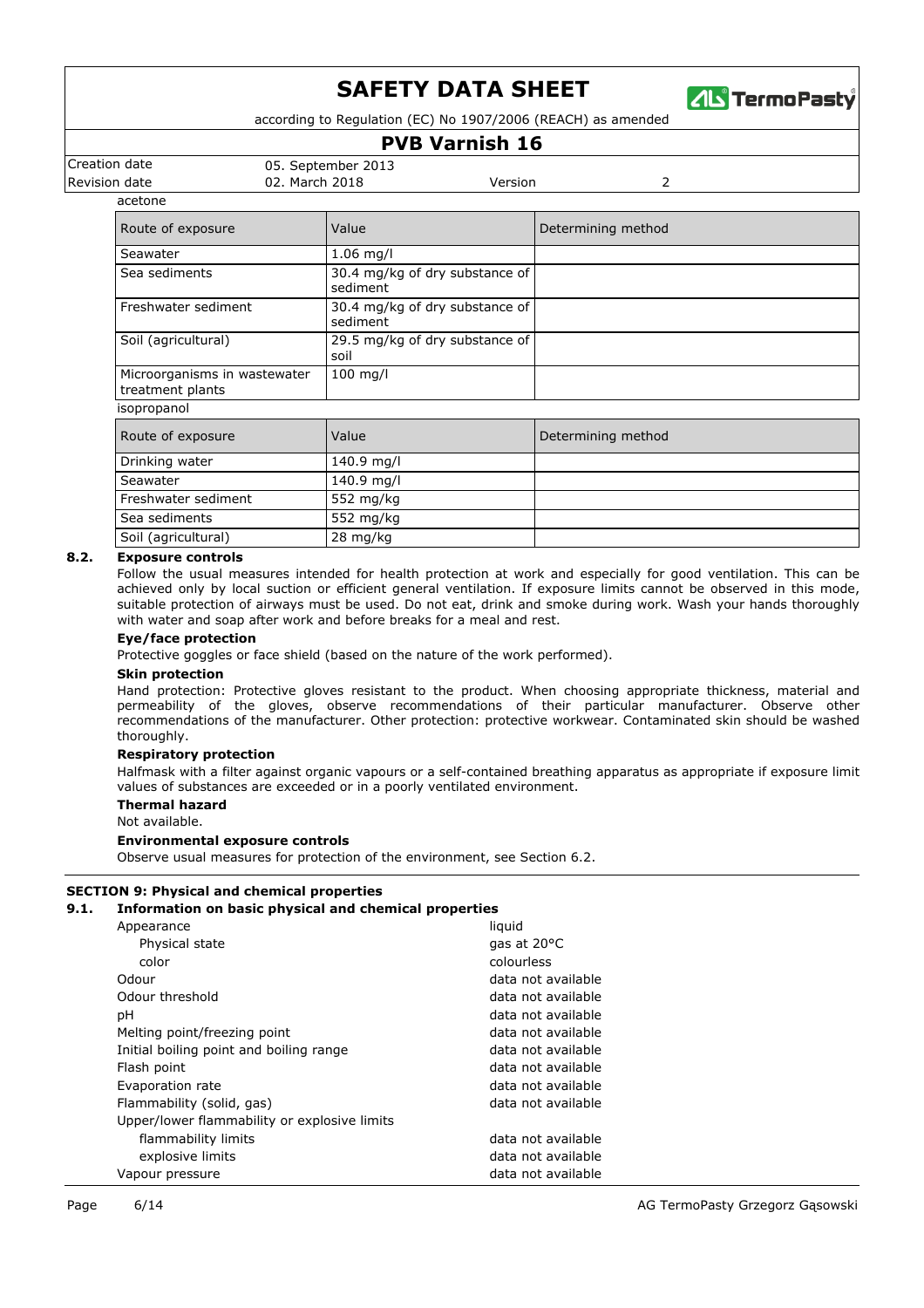

according to Regulation (EC) No 1907/2006 (REACH) as amended

## **PVB Varnish 16**

Creation date 05. September 2013

Revision date 02. March 2018 Version 2

acetone

| Route of exposure                                | Value                                      | Determining method |
|--------------------------------------------------|--------------------------------------------|--------------------|
| Seawater                                         | $1.06$ mg/l                                |                    |
| Sea sediments                                    | 30.4 mg/kg of dry substance of<br>sediment |                    |
| Freshwater sediment                              | 30.4 mg/kg of dry substance of<br>sediment |                    |
| Soil (agricultural)                              | 29.5 mg/kg of dry substance of<br>soil     |                    |
| Microorganisms in wastewater<br>treatment plants | $100$ mg/l                                 |                    |
| isopropanol                                      |                                            |                    |
| Route of exposure                                | Value                                      | Determining method |
| Drinking water                                   | 140.9 mg/l                                 |                    |
| Seawater                                         | 140.9 mg/l                                 |                    |
| Freshwater sediment                              | 552 mg/kg                                  |                    |
| Sea sediments                                    | 552 mg/kg                                  |                    |
| Soil (agricultural)                              | 28 mg/kg                                   |                    |

#### **8.2. Exposure controls**

Follow the usual measures intended for health protection at work and especially for good ventilation. This can be achieved only by local suction or efficient general ventilation. If exposure limits cannot be observed in this mode, suitable protection of airways must be used. Do not eat, drink and smoke during work. Wash your hands thoroughly with water and soap after work and before breaks for a meal and rest.

#### **Eye/face protection**

Protective goggles or face shield (based on the nature of the work performed).

#### **Skin protection**

Hand protection: Protective gloves resistant to the product. When choosing appropriate thickness, material and permeability of the gloves, observe recommendations of their particular manufacturer. Observe other recommendations of the manufacturer. Other protection: protective workwear. Contaminated skin should be washed thoroughly.

#### **Respiratory protection**

Halfmask with a filter against organic vapours or a self-contained breathing apparatus as appropriate if exposure limit values of substances are exceeded or in a poorly ventilated environment.

#### **Thermal hazard**

Not available.

#### **Environmental exposure controls**

Observe usual measures for protection of the environment, see Section 6.2.

#### **SECTION 9: Physical and chemical properties**

#### **9.1. Information on basic physical and chemical properties**

| Appearance                                   | liquid                |
|----------------------------------------------|-----------------------|
| Physical state                               | gas at $20^{\circ}$ C |
| color                                        | colourless            |
| Odour                                        | data not available    |
| Odour threshold                              | data not available    |
| рH                                           | data not available    |
| Melting point/freezing point                 | data not available    |
| Initial boiling point and boiling range      | data not available    |
| Flash point                                  | data not available    |
| Evaporation rate                             | data not available    |
| Flammability (solid, gas)                    | data not available    |
| Upper/lower flammability or explosive limits |                       |
| flammability limits                          | data not available    |
| explosive limits                             | data not available    |
| Vapour pressure                              | data not available    |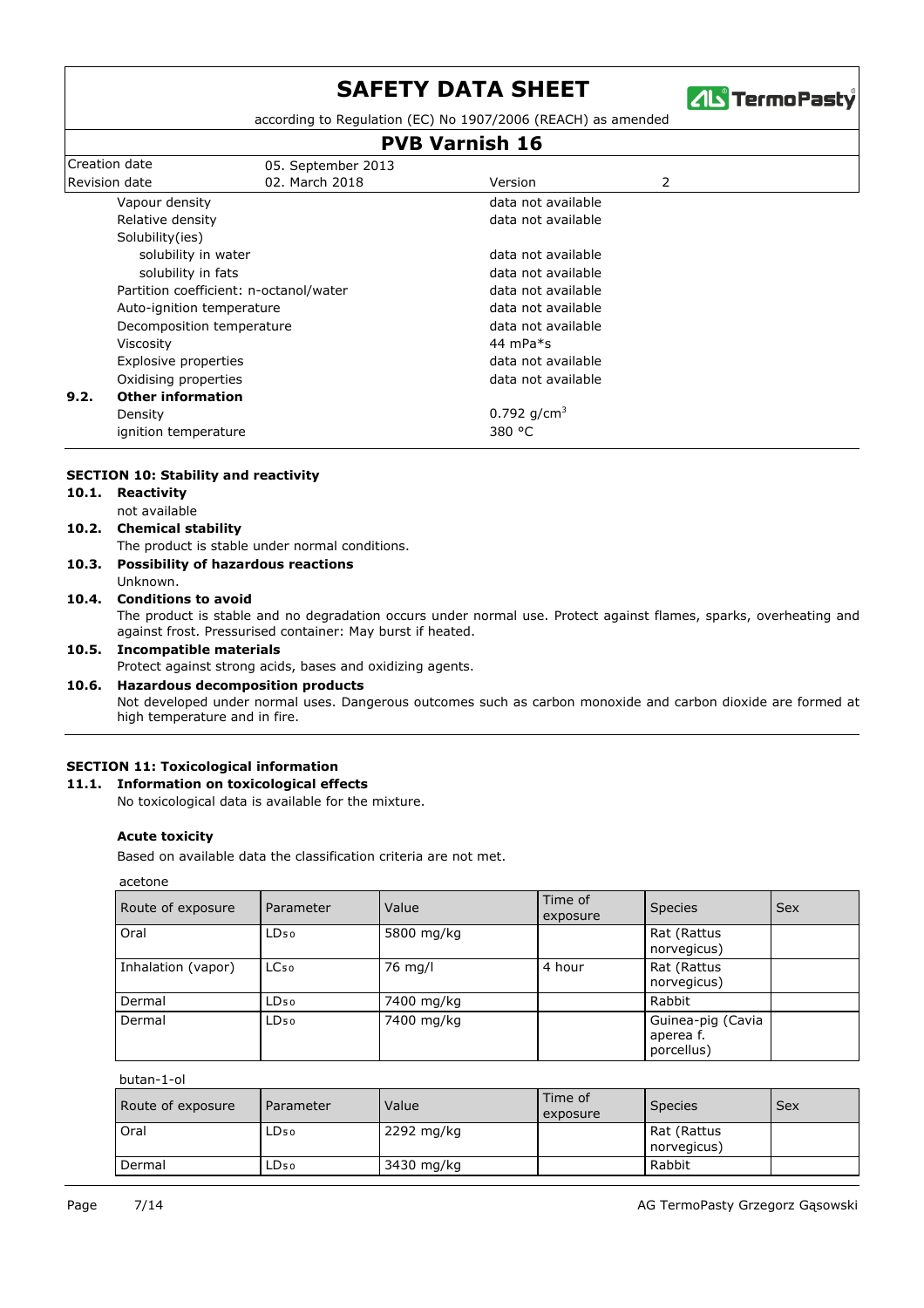

according to Regulation (EC) No 1907/2006 (REACH) as amended

## **PVB Varnish 16**

| Creation date             | 05. September 2013                     |                    |
|---------------------------|----------------------------------------|--------------------|
| <b>Revision date</b>      | 02. March 2018                         | 2<br>Version       |
|                           | Vapour density                         | data not available |
|                           | Relative density                       | data not available |
|                           | Solubility(ies)                        |                    |
|                           | solubility in water                    | data not available |
|                           | solubility in fats                     | data not available |
|                           | Partition coefficient: n-octanol/water | data not available |
| Auto-ignition temperature |                                        | data not available |
|                           | Decomposition temperature              | data not available |
| Viscosity                 |                                        | 44 mPa $*_{S}$     |
| Explosive properties      |                                        | data not available |
| Oxidising properties      |                                        | data not available |
| 9.2.                      | <b>Other information</b>               |                    |
|                           | Density                                | 0.792 $q/cm^3$     |
|                           | ignition temperature                   | 380 °C             |
|                           |                                        |                    |

#### **SECTION 10: Stability and reactivity**

- **10.1. Reactivity**
- not available
- **10.2. Chemical stability**
	- The product is stable under normal conditions.
- Unknown. **10.3. Possibility of hazardous reactions**

## **10.4. Conditions to avoid**

The product is stable and no degradation occurs under normal use. Protect against flames, sparks, overheating and against frost. Pressurised container: May burst if heated.

#### **10.5. Incompatible materials**

Protect against strong acids, bases and oxidizing agents.

#### **10.6. Hazardous decomposition products**

Not developed under normal uses. Dangerous outcomes such as carbon monoxide and carbon dioxide are formed at high temperature and in fire.

#### **SECTION 11: Toxicological information**

#### **11.1. Information on toxicological effects**

No toxicological data is available for the mixture.

#### **Acute toxicity**

Based on available data the classification criteria are not met.

acetone

| Route of exposure  | Parameter        | Value      | Time of<br>exposure | <b>Species</b>                               | <b>Sex</b> |
|--------------------|------------------|------------|---------------------|----------------------------------------------|------------|
| Oral               | $LD_{50}$        | 5800 mg/kg |                     | Rat (Rattus<br>norvegicus)                   |            |
| Inhalation (vapor) | LC <sub>50</sub> | 76 mg/l    | 4 hour              | Rat (Rattus<br>norvegicus)                   |            |
| Dermal             | $LD_{50}$        | 7400 mg/kg |                     | Rabbit                                       |            |
| Dermal             | $LD_{50}$        | 7400 mg/kg |                     | Guinea-pig (Cavia<br>aperea f.<br>porcellus) |            |

butan-1-ol

| Route of exposure | Parameter        | Value      | Time of<br>exposure | <b>Species</b>             | Sex |
|-------------------|------------------|------------|---------------------|----------------------------|-----|
| Oral              | LD <sub>50</sub> | 2292 mg/kg |                     | Rat (Rattus<br>norvegicus) |     |
| Dermal            | LD50.            | 3430 mg/kg |                     | Rabbit                     |     |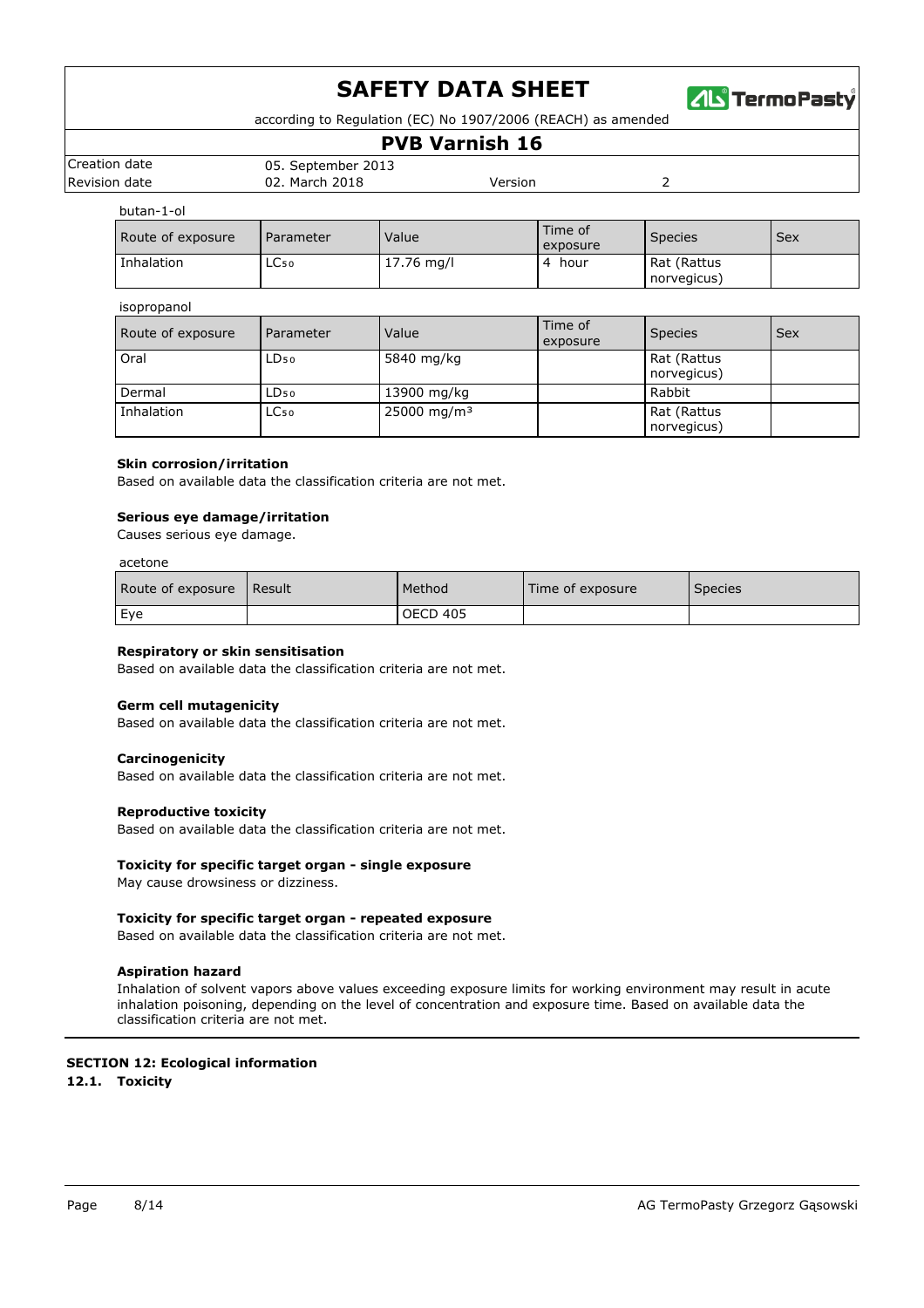

according to Regulation (EC) No 1907/2006 (REACH) as amended

### **PVB Varnish 16**

|               |                    | _____________________ |  |
|---------------|--------------------|-----------------------|--|
| Creation date | 05. September 2013 |                       |  |
| Revision date | 02. March 2018     | Version               |  |
|               |                    |                       |  |

butan-1-ol

| וט בנווטט         |           |              |                     |                            |     |
|-------------------|-----------|--------------|---------------------|----------------------------|-----|
| Route of exposure | Parameter | Value        | Time of<br>exposure | <b>Species</b>             | Sex |
| Inhalation        | LC50      | $17.76$ mg/l | hour                | Rat (Rattus<br>norvegicus) |     |

#### isopropanol

| Route of exposure | Parameter        | Value                   | Time of<br>exposure | <b>Species</b>             | Sex |
|-------------------|------------------|-------------------------|---------------------|----------------------------|-----|
| Oral              | $LD_{50}$        | 5840 mg/kg              |                     | Rat (Rattus<br>norvegicus) |     |
| Dermal            | $LD_{50}$        | 13900 mg/kg             |                     | Rabbit                     |     |
| Inhalation        | LC <sub>50</sub> | 25000 mg/m <sup>3</sup> |                     | Rat (Rattus<br>norvegicus) |     |

#### **Skin corrosion/irritation**

Based on available data the classification criteria are not met.

#### **Serious eye damage/irritation**

Causes serious eye damage.

#### acetone

| Route of exposure | <b>Result</b> | Method          | Time of exposure | Species |
|-------------------|---------------|-----------------|------------------|---------|
| Eye               |               | <b>OECD 405</b> |                  |         |

#### **Respiratory or skin sensitisation**

Based on available data the classification criteria are not met.

#### **Germ cell mutagenicity**

Based on available data the classification criteria are not met.

#### **Carcinogenicity**

Based on available data the classification criteria are not met.

#### **Reproductive toxicity**

Based on available data the classification criteria are not met.

#### **Toxicity for specific target organ - single exposure**

May cause drowsiness or dizziness.

#### **Toxicity for specific target organ - repeated exposure**

Based on available data the classification criteria are not met.

#### **Aspiration hazard**

Inhalation of solvent vapors above values exceeding exposure limits for working environment may result in acute inhalation poisoning, depending on the level of concentration and exposure time. Based on available data the classification criteria are not met.

## **SECTION 12: Ecological information**

**12.1. Toxicity**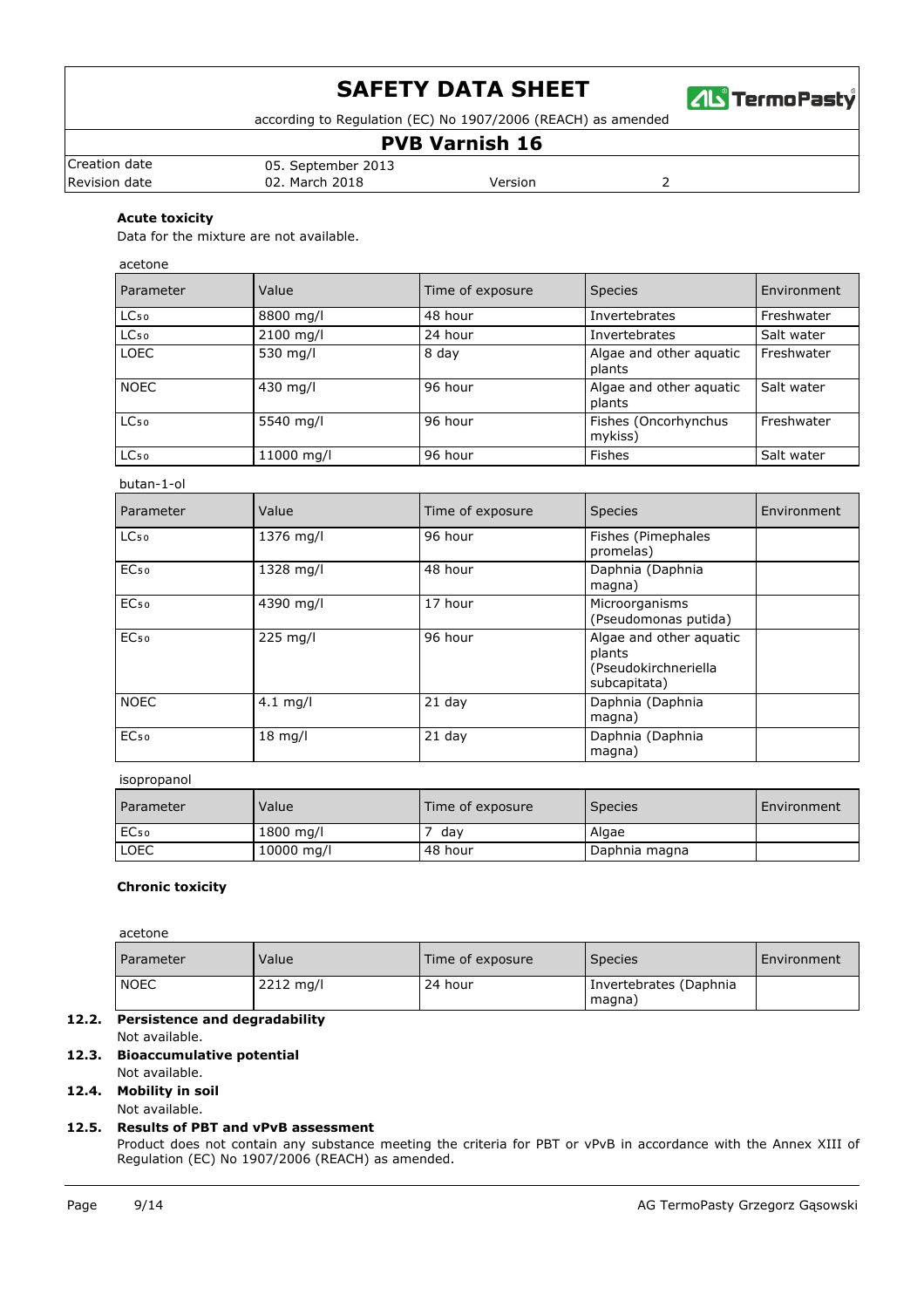

according to Regulation (EC) No 1907/2006 (REACH) as amended

## **PVB Varnish 16**

| Creation date | 05. September 2013 |         |  |
|---------------|--------------------|---------|--|
| Revision date | 02. March 2018     | Version |  |

### **Acute toxicity**

Data for the mixture are not available.

acetone

| Parameter        | Value      | Time of exposure | <b>Species</b>                    | Environment |
|------------------|------------|------------------|-----------------------------------|-------------|
| LC <sub>50</sub> | 8800 mg/l  | 48 hour          | Invertebrates                     | Freshwater  |
| LC <sub>50</sub> | 2100 mg/l  | 24 hour          | Invertebrates                     | Salt water  |
| <b>LOEC</b>      | 530 mg/l   | 8 day            | Algae and other aguatic<br>plants | Freshwater  |
| <b>NOEC</b>      | 430 mg/l   | 96 hour          | Algae and other aguatic<br>plants | Salt water  |
| LC <sub>50</sub> | 5540 mg/l  | 96 hour          | Fishes (Oncorhynchus<br>mykiss)   | Freshwater  |
| LC <sub>50</sub> | 11000 mg/l | 96 hour          | <b>Fishes</b>                     | Salt water  |

#### butan-1-ol

| Parameter        | Value      | Time of exposure | <b>Species</b>                                                            | Environment |
|------------------|------------|------------------|---------------------------------------------------------------------------|-------------|
| LC <sub>50</sub> | 1376 mg/l  | 96 hour          | Fishes (Pimephales<br>promelas)                                           |             |
| EC <sub>50</sub> | 1328 mg/l  | 48 hour          | Daphnia (Daphnia<br>magna)                                                |             |
| EC <sub>50</sub> | 4390 mg/l  | 17 hour          | Microorganisms<br>(Pseudomonas putida)                                    |             |
| EC <sub>50</sub> | 225 mg/l   | 96 hour          | Algae and other aquatic<br>plants<br>(Pseudokirchneriella<br>subcapitata) |             |
| <b>NOEC</b>      | $4.1$ mg/l | $21$ day         | Daphnia (Daphnia<br>magna)                                                |             |
| EC <sub>50</sub> | $18$ mg/l  | $21$ day         | Daphnia (Daphnia<br>magna)                                                |             |

#### isopropanol

| Parameter        | Value      | Time of exposure | <b>Species</b> | Environment |
|------------------|------------|------------------|----------------|-------------|
| EC <sub>50</sub> | 1800 mg/l  | dav              | Algae          |             |
| LOEC             | 10000 mg/l | 48 hour          | Daphnia magna  |             |

#### **Chronic toxicity**

acetone

| <b>Parameter</b> | Value       | Time of exposure | <b>Species</b>                   | Environment |
|------------------|-------------|------------------|----------------------------------|-------------|
| <b>NOEC</b>      | $2212$ mg/l | 24 hour          | Invertebrates (Daphnia<br>magna) |             |

#### **12.2. Persistence and degradability** Not available.

## **12.3. Bioaccumulative potential**

Not available.

## **12.4. Mobility in soil**

#### **12.5. Results of PBT and vPvB assessment** Not available.

Product does not contain any substance meeting the criteria for PBT or vPvB in accordance with the Annex XIII of Regulation (EC) No 1907/2006 (REACH) as amended.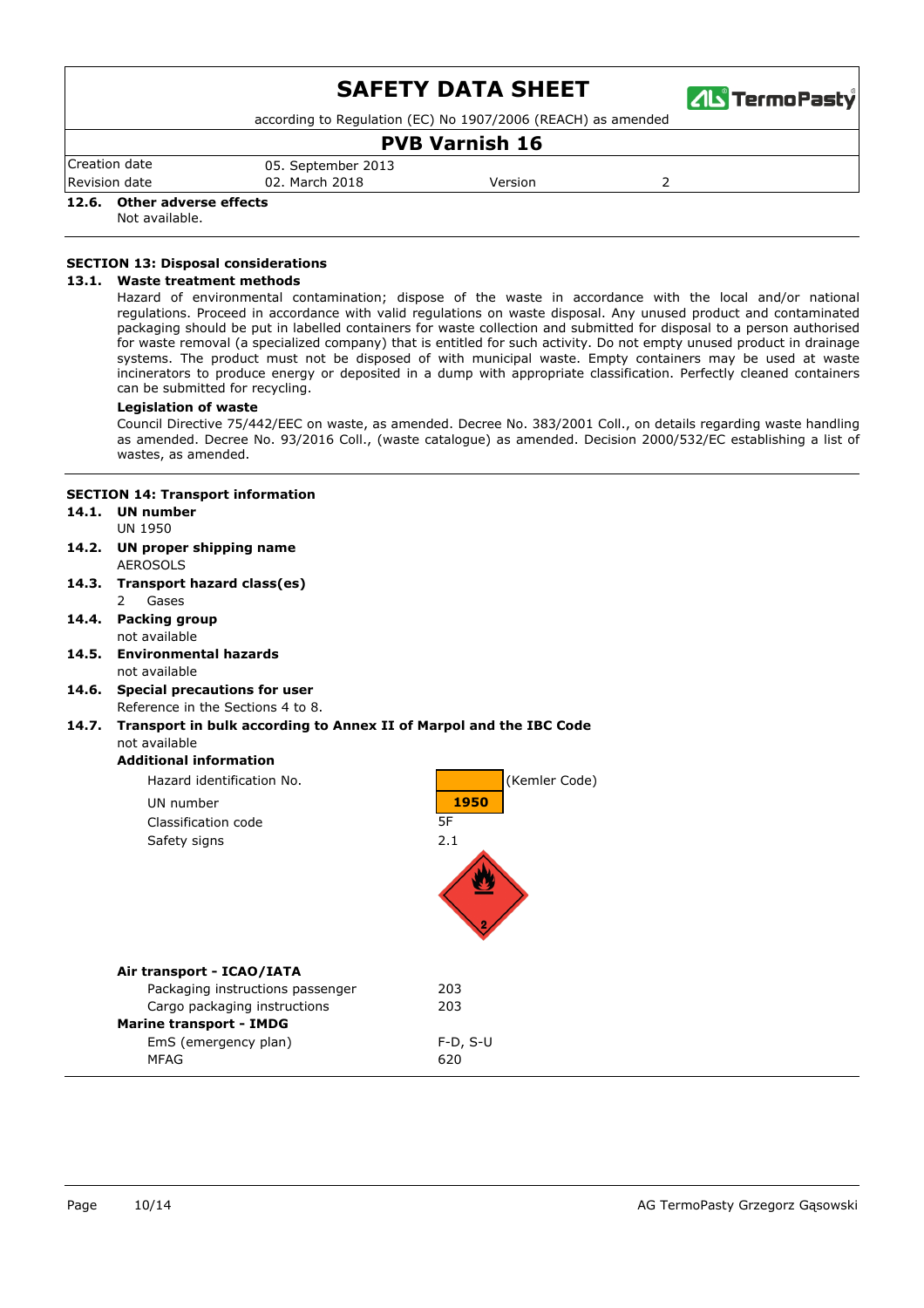

according to Regulation (EC) No 1907/2006 (REACH) as amended

### **PVB Varnish 16**

Revision date 02. March 2018 Version 2 Regulation (EC) No 1907/2006 (REACH) as amended. Product does not contain any substance meeting the criteria for  $\sim 0.5$  September 2013

### **12.6. Other adverse effects**

Not available.

### **SECTION 13: Disposal considerations**

#### **13.1. Waste treatment methods**

Hazard of environmental contamination; dispose of the waste in accordance with the local and/or national regulations. Proceed in accordance with valid regulations on waste disposal. Any unused product and contaminated packaging should be put in labelled containers for waste collection and submitted for disposal to a person authorised for waste removal (a specialized company) that is entitled for such activity. Do not empty unused product in drainage systems. The product must not be disposed of with municipal waste. Empty containers may be used at waste incinerators to produce energy or deposited in a dump with appropriate classification. Perfectly cleaned containers can be submitted for recycling.

#### **Legislation of waste**

Council Directive 75/442/EEC on waste, as amended. Decree No. 383/2001 Coll., on details regarding waste handling as amended. Decree No. 93/2016 Coll., (waste catalogue) as amended. Decision 2000/532/EC establishing a list of wastes, as amended.

#### **SECTION 14: Transport information**

#### UN 1950 **14.1. UN number**

- **14.2. UN proper shipping name**
- AEROSOLS **14.3. Transport hazard class(es)**
	- 2 Gases
- not available **14.4. Packing group**
- not available **14.5. Environmental hazards**
- Reference in the Sections 4 to 8. **14.6. Special precautions for user**

#### not available **14.7. Transport in bulk according to Annex II of Marpol and the IBC Code**

#### **Additional information**

| Hazard identification No.        | (Kemler Code) |
|----------------------------------|---------------|
| UN number                        | 1950          |
| Classification code              | 5F            |
| Safety signs                     | 2.1           |
| Air transport - ICAO/IATA        |               |
| Packaging instructions passenger | 203           |
| Cargo packaging instructions     | 203           |
| <b>Marine transport - IMDG</b>   |               |
| EmS (emergency plan)             | $F-D, S-U$    |
| MFAG                             | 620           |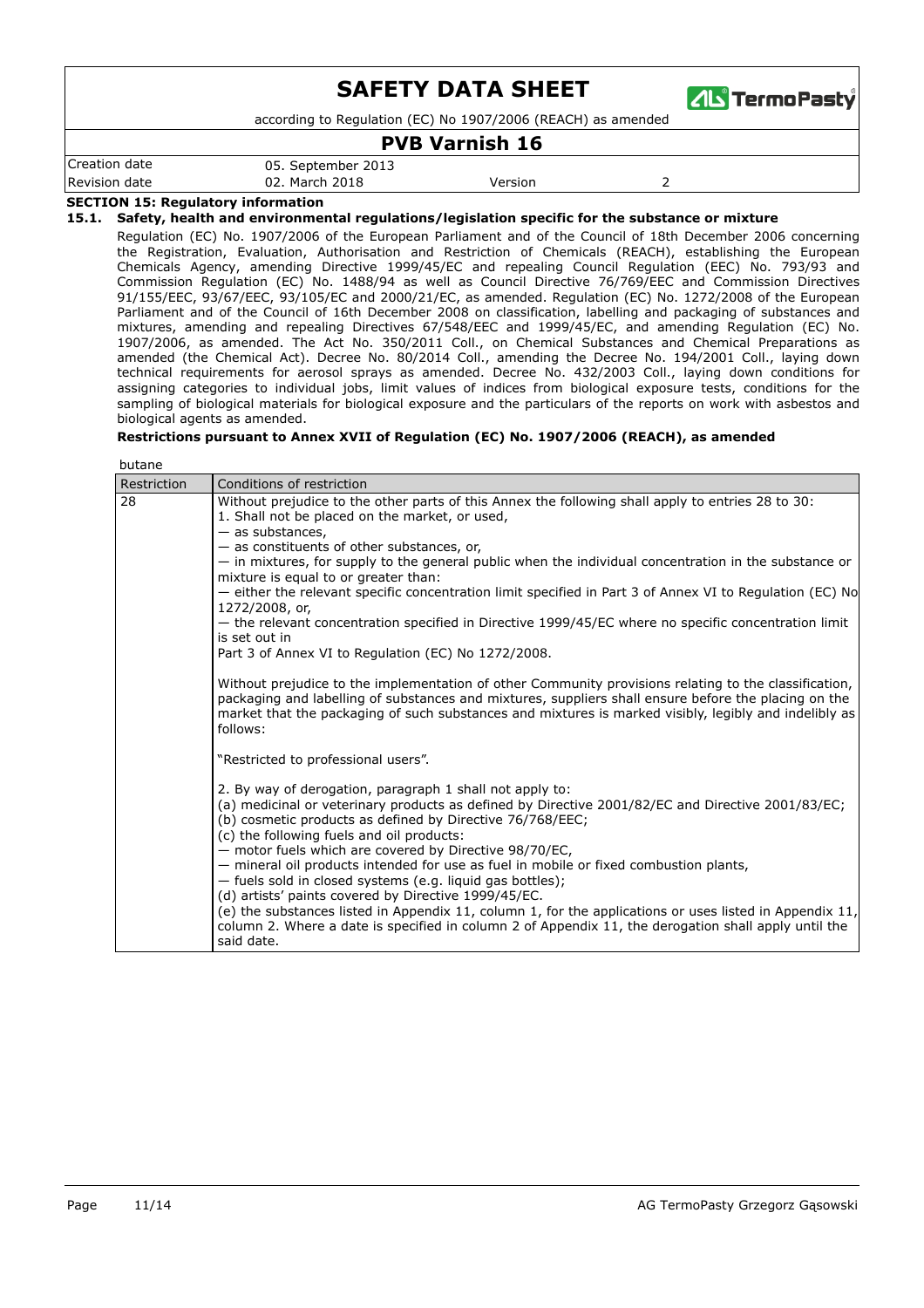

according to Regulation (EC) No 1907/2006 (REACH) as amended

### **PVB Varnish 16**

Revision date 02. March 2018 Version 2 Creation date 05. September 2013

### **SECTION 15: Regulatory information**

**15.1. Safety, health and environmental regulations/legislation specific for the substance or mixture**

Regulation (EC) No. 1907/2006 of the European Parliament and of the Council of 18th December 2006 concerning the Registration, Evaluation, Authorisation and Restriction of Chemicals (REACH), establishing the European Chemicals Agency, amending Directive 1999/45/EC and repealing Council Regulation (EEC) No. 793/93 and Commission Regulation (EC) No. 1488/94 as well as Council Directive 76/769/EEC and Commission Directives 91/155/EEC, 93/67/EEC, 93/105/EC and 2000/21/EC, as amended. Regulation (EC) No. 1272/2008 of the European Parliament and of the Council of 16th December 2008 on classification, labelling and packaging of substances and mixtures, amending and repealing Directives 67/548/EEC and 1999/45/EC, and amending Regulation (EC) No. 1907/2006, as amended. The Act No. 350/2011 Coll., on Chemical Substances and Chemical Preparations as amended (the Chemical Act). Decree No. 80/2014 Coll., amending the Decree No. 194/2001 Coll., laying down technical requirements for aerosol sprays as amended. Decree No. 432/2003 Coll., laying down conditions for assigning categories to individual jobs, limit values of indices from biological exposure tests, conditions for the sampling of biological materials for biological exposure and the particulars of the reports on work with asbestos and biological agents as amended.

#### **Restrictions pursuant to Annex XVII of Regulation (EC) No. 1907/2006 (REACH), as amended**

| butane      |                                                                                                                                                                                                                                                                                                                                    |  |  |  |
|-------------|------------------------------------------------------------------------------------------------------------------------------------------------------------------------------------------------------------------------------------------------------------------------------------------------------------------------------------|--|--|--|
| Restriction | Conditions of restriction                                                                                                                                                                                                                                                                                                          |  |  |  |
| 28          | Without prejudice to the other parts of this Annex the following shall apply to entries 28 to 30:<br>1. Shall not be placed on the market, or used,<br>- as substances,<br>$-$ as constituents of other substances, or,                                                                                                            |  |  |  |
|             | - in mixtures, for supply to the general public when the individual concentration in the substance or<br>mixture is equal to or greater than:                                                                                                                                                                                      |  |  |  |
|             | - either the relevant specific concentration limit specified in Part 3 of Annex VI to Regulation (EC) No<br>1272/2008, or,                                                                                                                                                                                                         |  |  |  |
|             | - the relevant concentration specified in Directive 1999/45/EC where no specific concentration limit<br>is set out in                                                                                                                                                                                                              |  |  |  |
|             | Part 3 of Annex VI to Regulation (EC) No 1272/2008.                                                                                                                                                                                                                                                                                |  |  |  |
|             | Without prejudice to the implementation of other Community provisions relating to the classification,<br>packaging and labelling of substances and mixtures, suppliers shall ensure before the placing on the<br>market that the packaging of such substances and mixtures is marked visibly, legibly and indelibly as<br>follows: |  |  |  |
|             | "Restricted to professional users".                                                                                                                                                                                                                                                                                                |  |  |  |
|             | 2. By way of derogation, paragraph 1 shall not apply to:<br>(a) medicinal or veterinary products as defined by Directive 2001/82/EC and Directive 2001/83/EC;<br>(b) cosmetic products as defined by Directive 76/768/EEC;<br>(c) the following fuels and oil products:<br>- motor fuels which are covered by Directive 98/70/EC,  |  |  |  |
|             | - mineral oil products intended for use as fuel in mobile or fixed combustion plants,<br>- fuels sold in closed systems (e.g. liquid gas bottles);<br>(d) artists' paints covered by Directive 1999/45/EC.                                                                                                                         |  |  |  |
|             | (e) the substances listed in Appendix 11, column 1, for the applications or uses listed in Appendix 11,<br>column 2. Where a date is specified in column 2 of Appendix 11, the derogation shall apply until the<br>said date.                                                                                                      |  |  |  |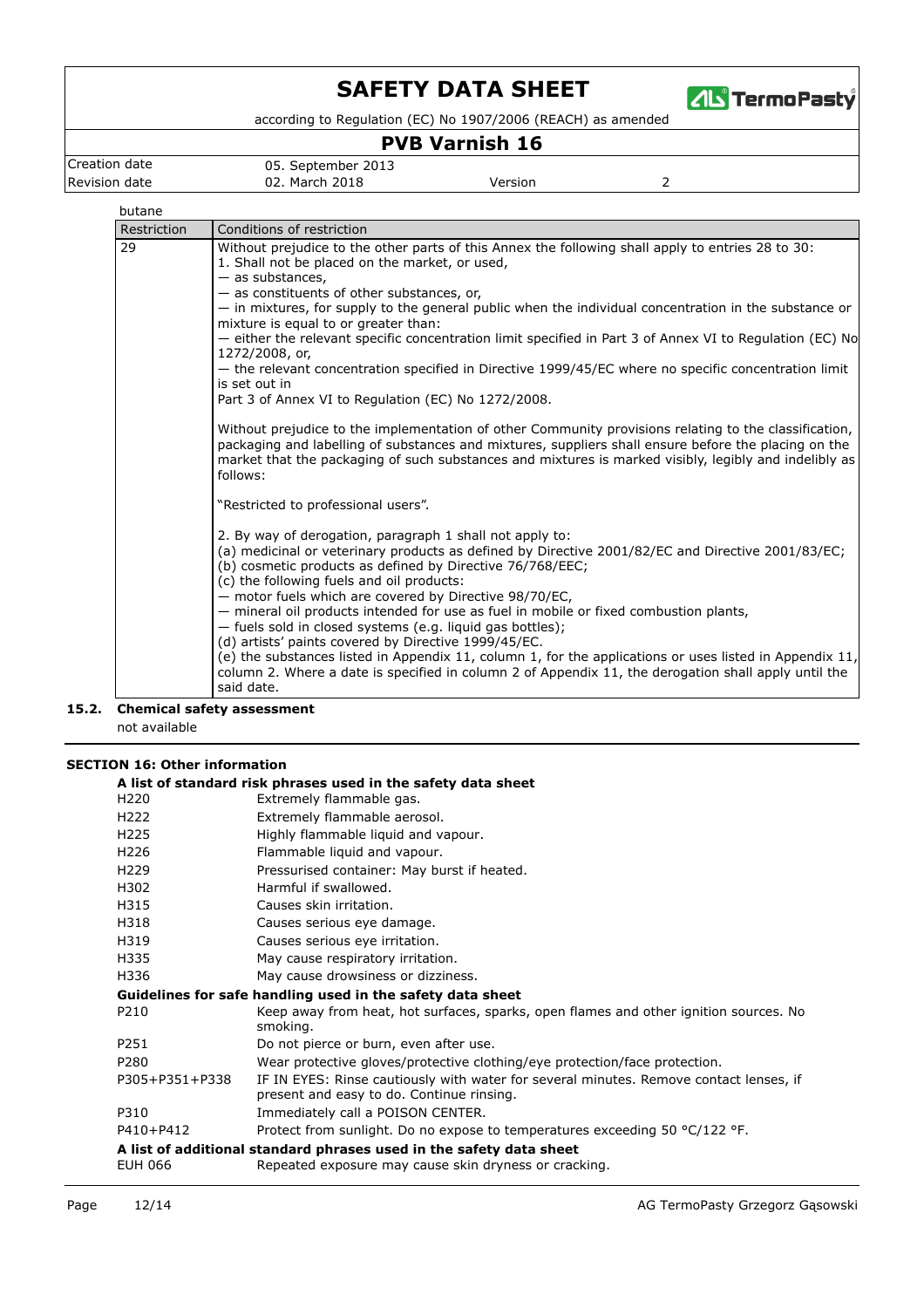

according to Regulation (EC) No 1907/2006 (REACH) as amended

## **PVB Varnish 16**

Creation date 05. September 2013

**Revision date 12. March 2018** Version **Version** 

#### butane

| Restriction | Conditions of restriction                                                                                                                                                                                                                                                                                                          |
|-------------|------------------------------------------------------------------------------------------------------------------------------------------------------------------------------------------------------------------------------------------------------------------------------------------------------------------------------------|
| 29          | Without prejudice to the other parts of this Annex the following shall apply to entries 28 to 30:<br>1. Shall not be placed on the market, or used,                                                                                                                                                                                |
|             | $-$ as substances,                                                                                                                                                                                                                                                                                                                 |
|             | $-$ as constituents of other substances, or,                                                                                                                                                                                                                                                                                       |
|             | - in mixtures, for supply to the general public when the individual concentration in the substance or<br>mixture is equal to or greater than:                                                                                                                                                                                      |
|             | - either the relevant specific concentration limit specified in Part 3 of Annex VI to Regulation (EC) No<br>1272/2008, or,                                                                                                                                                                                                         |
|             | - the relevant concentration specified in Directive 1999/45/EC where no specific concentration limit<br>is set out in                                                                                                                                                                                                              |
|             | Part 3 of Annex VI to Regulation (EC) No 1272/2008.                                                                                                                                                                                                                                                                                |
|             | Without prejudice to the implementation of other Community provisions relating to the classification,<br>packaging and labelling of substances and mixtures, suppliers shall ensure before the placing on the<br>market that the packaging of such substances and mixtures is marked visibly, legibly and indelibly as<br>follows: |
|             | "Restricted to professional users".                                                                                                                                                                                                                                                                                                |
|             | 2. By way of derogation, paragraph 1 shall not apply to:<br>(a) medicinal or veterinary products as defined by Directive 2001/82/EC and Directive 2001/83/EC;<br>(b) cosmetic products as defined by Directive 76/768/EEC;<br>(c) the following fuels and oil products:                                                            |
|             | - motor fuels which are covered by Directive 98/70/EC,<br>- mineral oil products intended for use as fuel in mobile or fixed combustion plants,<br>- fuels sold in closed systems (e.g. liquid gas bottles);                                                                                                                       |
|             | (d) artists' paints covered by Directive 1999/45/EC.<br>(e) the substances listed in Appendix 11, column 1, for the applications or uses listed in Appendix 11,<br>column 2. Where a date is specified in column 2 of Appendix 11, the derogation shall apply until the<br>said date.                                              |

**15.2. Chemical safety assessment**

not available

# **SECTION 16: Other information**<br>A list of standard rick at

|                | A list of standard risk phrases used in the safety data sheet                                                                       |
|----------------|-------------------------------------------------------------------------------------------------------------------------------------|
| H220           | Extremely flammable gas.                                                                                                            |
| H222           | Extremely flammable aerosol.                                                                                                        |
| H225           | Highly flammable liquid and vapour.                                                                                                 |
| H226           | Flammable liquid and vapour.                                                                                                        |
| H229           | Pressurised container: May burst if heated.                                                                                         |
| H302           | Harmful if swallowed.                                                                                                               |
| H315           | Causes skin irritation.                                                                                                             |
| H318           | Causes serious eye damage.                                                                                                          |
| H319           | Causes serious eye irritation.                                                                                                      |
| H335           | May cause respiratory irritation.                                                                                                   |
| H336           | May cause drowsiness or dizziness.                                                                                                  |
|                | Guidelines for safe handling used in the safety data sheet                                                                          |
| P210           | Keep away from heat, hot surfaces, sparks, open flames and other ignition sources. No<br>smoking.                                   |
| P251           | Do not pierce or burn, even after use.                                                                                              |
| P280           | Wear protective gloves/protective clothing/eye protection/face protection.                                                          |
| P305+P351+P338 | IF IN EYES: Rinse cautiously with water for several minutes. Remove contact lenses, if<br>present and easy to do. Continue rinsing. |
| P310           | Immediately call a POISON CENTER.                                                                                                   |
| P410+P412      | Protect from sunlight. Do no expose to temperatures exceeding 50 °C/122 °F.                                                         |
|                | A list of additional standard phrases used in the safety data sheet                                                                 |
| EUH 066        | Repeated exposure may cause skin dryness or cracking.                                                                               |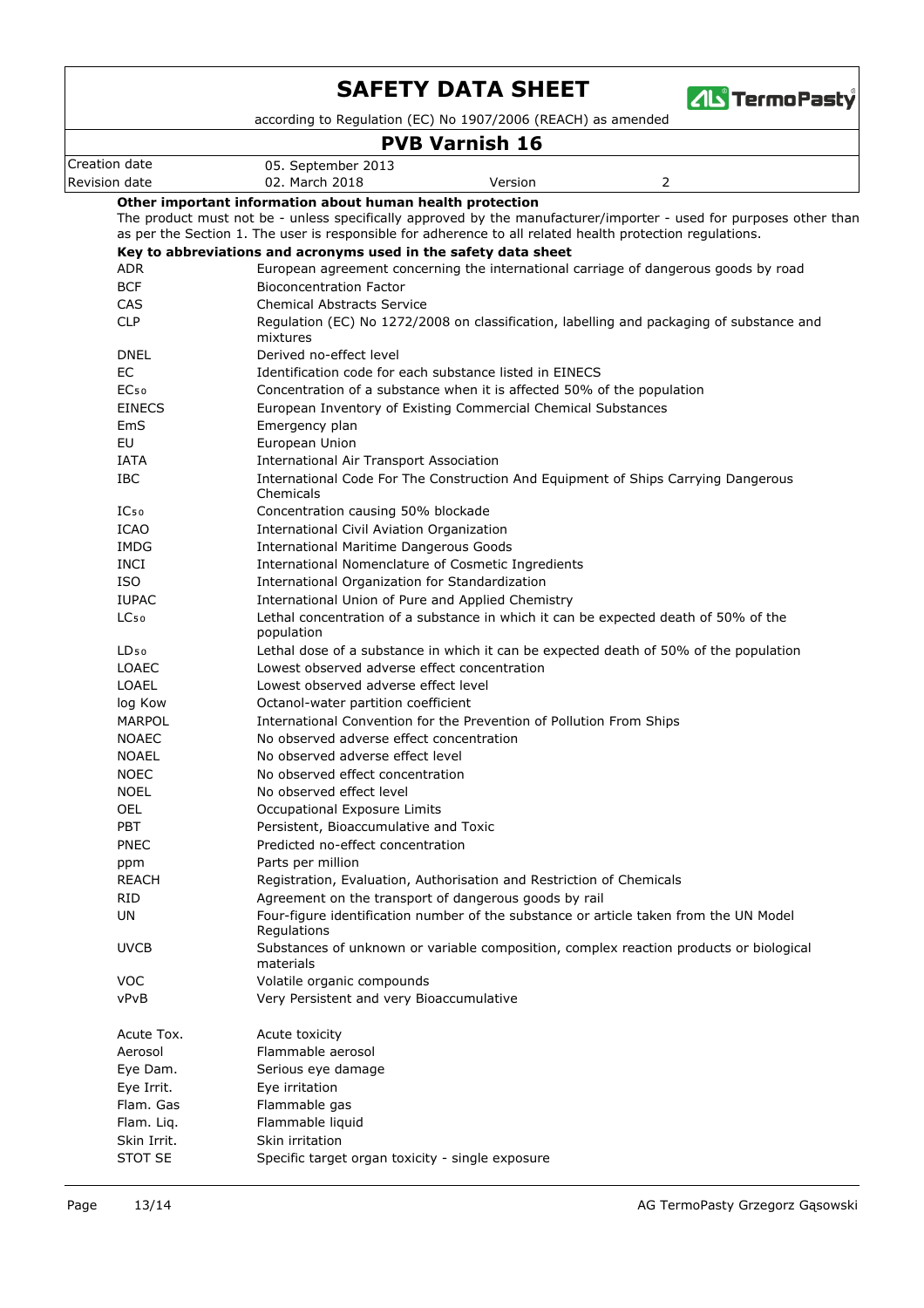

according to Regulation (EC) No 1907/2006 (REACH) as amended

## **PVB Varnish 16**

|                  | PVB Varnish 16                                                                                                                                                                                                                  |
|------------------|---------------------------------------------------------------------------------------------------------------------------------------------------------------------------------------------------------------------------------|
| Creation date    | 05. September 2013                                                                                                                                                                                                              |
| Revision date    | 02. March 2018<br>Version<br>2                                                                                                                                                                                                  |
|                  | Other important information about human health protection                                                                                                                                                                       |
|                  | The product must not be - unless specifically approved by the manufacturer/importer - used for purposes other than<br>as per the Section 1. The user is responsible for adherence to all related health protection regulations. |
|                  | Key to abbreviations and acronyms used in the safety data sheet                                                                                                                                                                 |
| ADR.             | European agreement concerning the international carriage of dangerous goods by road                                                                                                                                             |
| <b>BCF</b>       | <b>Bioconcentration Factor</b>                                                                                                                                                                                                  |
| <b>CAS</b>       | <b>Chemical Abstracts Service</b>                                                                                                                                                                                               |
| <b>CLP</b>       | Regulation (EC) No 1272/2008 on classification, labelling and packaging of substance and                                                                                                                                        |
|                  | mixtures                                                                                                                                                                                                                        |
| <b>DNEL</b>      | Derived no-effect level                                                                                                                                                                                                         |
| <b>EC</b>        | Identification code for each substance listed in EINECS                                                                                                                                                                         |
| EC <sub>50</sub> | Concentration of a substance when it is affected 50% of the population                                                                                                                                                          |
| <b>EINECS</b>    | European Inventory of Existing Commercial Chemical Substances                                                                                                                                                                   |
| EmS              | Emergency plan                                                                                                                                                                                                                  |
| EU               | European Union                                                                                                                                                                                                                  |
| <b>IATA</b>      | <b>International Air Transport Association</b>                                                                                                                                                                                  |
| <b>IBC</b>       | International Code For The Construction And Equipment of Ships Carrying Dangerous<br>Chemicals                                                                                                                                  |
| IC <sub>50</sub> | Concentration causing 50% blockade                                                                                                                                                                                              |
| <b>ICAO</b>      | International Civil Aviation Organization                                                                                                                                                                                       |
| IMDG             | <b>International Maritime Dangerous Goods</b>                                                                                                                                                                                   |
| <b>INCI</b>      | International Nomenclature of Cosmetic Ingredients                                                                                                                                                                              |
| <b>ISO</b>       | International Organization for Standardization                                                                                                                                                                                  |
| <b>IUPAC</b>     | International Union of Pure and Applied Chemistry                                                                                                                                                                               |
| LC <sub>50</sub> | Lethal concentration of a substance in which it can be expected death of 50% of the<br>population                                                                                                                               |
| $LD_{50}$        | Lethal dose of a substance in which it can be expected death of 50% of the population                                                                                                                                           |
| <b>LOAEC</b>     | Lowest observed adverse effect concentration                                                                                                                                                                                    |
| LOAEL            | Lowest observed adverse effect level                                                                                                                                                                                            |
| log Kow          | Octanol-water partition coefficient                                                                                                                                                                                             |
| <b>MARPOL</b>    | International Convention for the Prevention of Pollution From Ships                                                                                                                                                             |
| <b>NOAEC</b>     | No observed adverse effect concentration                                                                                                                                                                                        |
| <b>NOAEL</b>     | No observed adverse effect level                                                                                                                                                                                                |
| <b>NOEC</b>      | No observed effect concentration                                                                                                                                                                                                |
| <b>NOEL</b>      | No observed effect level                                                                                                                                                                                                        |
| <b>OEL</b>       | Occupational Exposure Limits                                                                                                                                                                                                    |
| <b>PBT</b>       | Persistent, Bioaccumulative and Toxic                                                                                                                                                                                           |
| <b>PNEC</b>      | Predicted no-effect concentration                                                                                                                                                                                               |
| ppm              | Parts per million                                                                                                                                                                                                               |
| <b>REACH</b>     | Registration, Evaluation, Authorisation and Restriction of Chemicals                                                                                                                                                            |
| <b>RID</b>       | Agreement on the transport of dangerous goods by rail                                                                                                                                                                           |
| UN               | Four-figure identification number of the substance or article taken from the UN Model<br>Regulations                                                                                                                            |
| <b>UVCB</b>      | Substances of unknown or variable composition, complex reaction products or biological<br>materials                                                                                                                             |
| <b>VOC</b>       | Volatile organic compounds                                                                                                                                                                                                      |
| vPvB             | Very Persistent and very Bioaccumulative                                                                                                                                                                                        |
| Acute Tox.       | Acute toxicity                                                                                                                                                                                                                  |
| Aerosol          | Flammable aerosol                                                                                                                                                                                                               |
| Eye Dam.         | Serious eye damage                                                                                                                                                                                                              |
| Eye Irrit.       | Eye irritation                                                                                                                                                                                                                  |
| Flam. Gas        | Flammable gas                                                                                                                                                                                                                   |
| Flam. Lig.       | Flammable liquid                                                                                                                                                                                                                |
| Skin Irrit.      | Skin irritation                                                                                                                                                                                                                 |
| STOT SE          | Specific target organ toxicity - single exposure                                                                                                                                                                                |